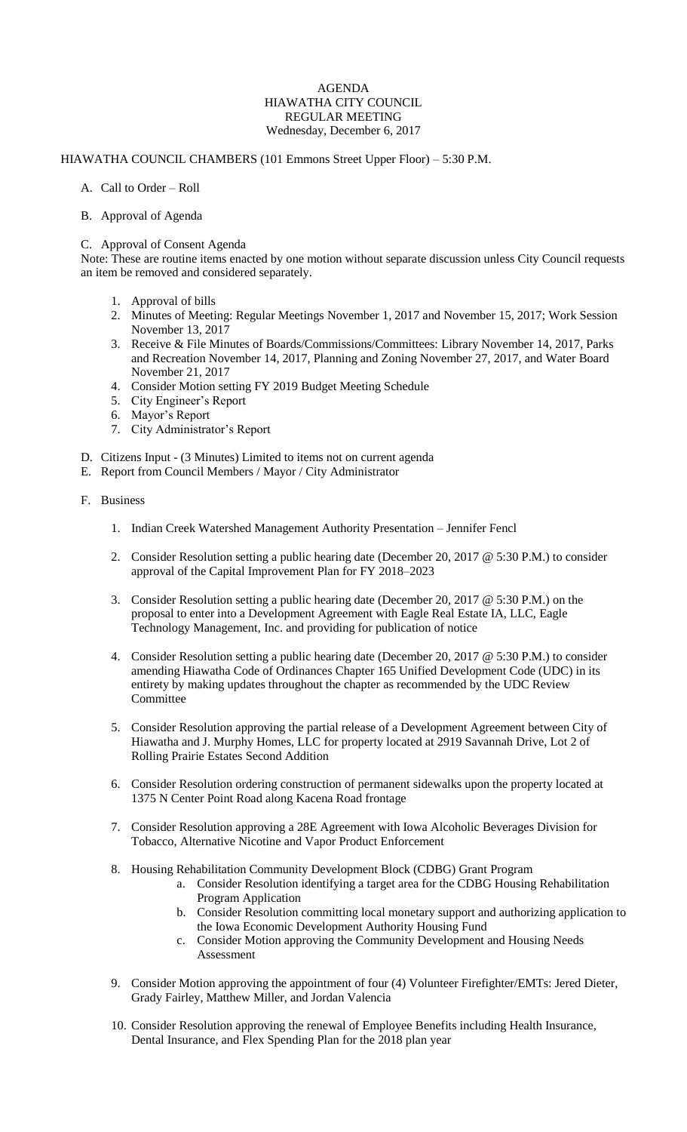#### AGENDA HIAWATHA CITY COUNCIL REGULAR MEETING Wednesday, December 6, 2017

# HIAWATHA COUNCIL CHAMBERS (101 Emmons Street Upper Floor) – 5:30 P.M.

- A. Call to Order Roll
- B. Approval of Agenda

### C. Approval of Consent Agenda

Note: These are routine items enacted by one motion without separate discussion unless City Council requests an item be removed and considered separately.

- 1. Approval of bills
- 2. Minutes of Meeting: Regular Meetings November 1, 2017 and November 15, 2017; Work Session November 13, 2017
- 3. Receive & File Minutes of Boards/Commissions/Committees: Library November 14, 2017, Parks and Recreation November 14, 2017, Planning and Zoning November 27, 2017, and Water Board November 21, 2017
- 4. Consider Motion setting FY 2019 Budget Meeting Schedule
- 5. City Engineer's Report
- 6. Mayor's Report
- 7. City Administrator's Report
- D. Citizens Input (3 Minutes) Limited to items not on current agenda
- E. Report from Council Members / Mayor / City Administrator

### F. Business

- 1. Indian Creek Watershed Management Authority Presentation Jennifer Fencl
- 2. Consider Resolution setting a public hearing date (December 20, 2017 @ 5:30 P.M.) to consider approval of the Capital Improvement Plan for FY 2018–2023
- 3. Consider Resolution setting a public hearing date (December 20, 2017 @ 5:30 P.M.) on the proposal to enter into a Development Agreement with Eagle Real Estate IA, LLC, Eagle Technology Management, Inc. and providing for publication of notice
- 4. Consider Resolution setting a public hearing date (December 20, 2017 @ 5:30 P.M.) to consider amending Hiawatha Code of Ordinances Chapter 165 Unified Development Code (UDC) in its entirety by making updates throughout the chapter as recommended by the UDC Review **Committee**
- 5. Consider Resolution approving the partial release of a Development Agreement between City of Hiawatha and J. Murphy Homes, LLC for property located at 2919 Savannah Drive, Lot 2 of Rolling Prairie Estates Second Addition
- 6. Consider Resolution ordering construction of permanent sidewalks upon the property located at 1375 N Center Point Road along Kacena Road frontage
- 7. Consider Resolution approving a 28E Agreement with Iowa Alcoholic Beverages Division for Tobacco, Alternative Nicotine and Vapor Product Enforcement
- 8. Housing Rehabilitation Community Development Block (CDBG) Grant Program
	- a. Consider Resolution identifying a target area for the CDBG Housing Rehabilitation Program Application
	- b. Consider Resolution committing local monetary support and authorizing application to the Iowa Economic Development Authority Housing Fund
	- c. Consider Motion approving the Community Development and Housing Needs Assessment
- 9. Consider Motion approving the appointment of four (4) Volunteer Firefighter/EMTs: Jered Dieter, Grady Fairley, Matthew Miller, and Jordan Valencia
- 10. Consider Resolution approving the renewal of Employee Benefits including Health Insurance, Dental Insurance, and Flex Spending Plan for the 2018 plan year